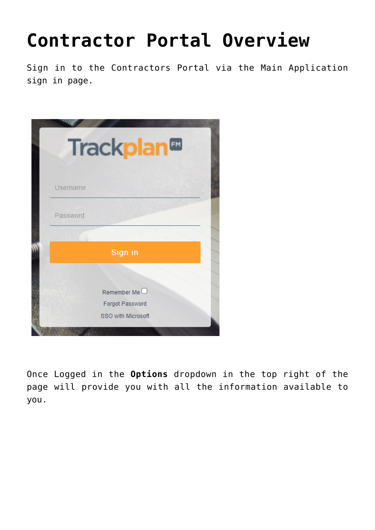## **[Contractor Portal Overview](https://cafm.fm/article/contractor-portal-overview-2/)**

Sign in to the Contractors Portal via the Main Application sign in page.

|          | Trackplan <sup>®</sup> |  |
|----------|------------------------|--|
|          |                        |  |
| Username |                        |  |
| Password |                        |  |
|          |                        |  |
|          | Sign in                |  |
|          |                        |  |
|          | Remember Me $\Box$     |  |
|          | Forgot Password        |  |
|          | SSO with Microsoft     |  |
|          |                        |  |

Once Logged in the **Options** dropdown in the top right of the page will provide you with all the information available to you.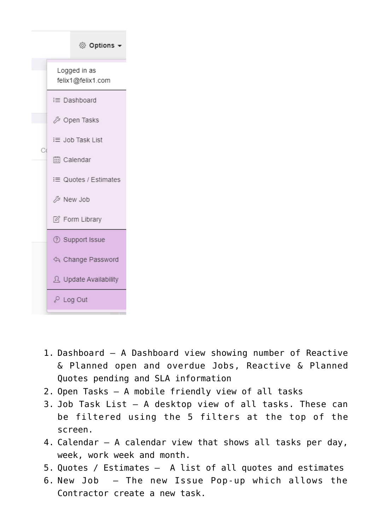

- 1. Dashboard A Dashboard view showing number of Reactive & Planned open and overdue Jobs, Reactive & Planned Quotes pending and SLA information
- 2. Open Tasks A mobile friendly view of all tasks
- 3. Job Task List A desktop view of all tasks. These can be filtered using the 5 filters at the top of the screen.
- 4. Calendar A calendar view that shows all tasks per day, week, work week and month.
- 5. Quotes / Estimates A list of all quotes and estimates
- 6. New Job The new Issue Pop-up which allows the Contractor create a new task.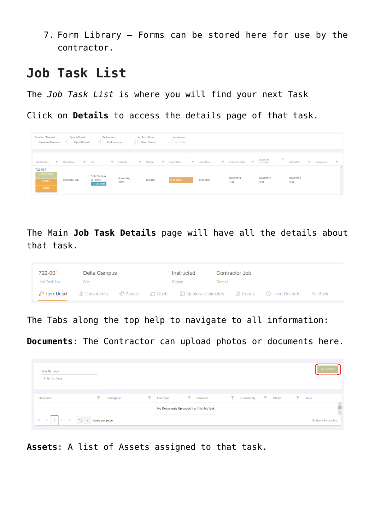7. Form Library – Forms can be stored here for use by the contractor.

## **Job Task List**

The *Job Task List* is where you will find your next Task

Click on **Details** to access the details page of that task.

| Reactive / Planned<br><reactive planned=""></reactive>          | Open / Closed<br><open closed=""><br/><math>\checkmark</math></open> | Performance<br><performance><br/><math>\checkmark</math></performance> | $\checkmark$         | <b>Job Task Status</b><br><task status=""></task> | <b>Job Number</b><br>Job Number<br>$\checkmark$ |              |                                                  |                                                 |                                        |             |                                            |
|-----------------------------------------------------------------|----------------------------------------------------------------------|------------------------------------------------------------------------|----------------------|---------------------------------------------------|-------------------------------------------------|--------------|--------------------------------------------------|-------------------------------------------------|----------------------------------------|-------------|--------------------------------------------|
| $\overline{\mathbf{v}}$<br><b>Job Number</b>                    | Description                                                          | $\top$ Site<br>$\overline{\mathbf{r}}$                                 | Location             | $\overline{\mathbf{r}}$<br>Region                 | $\overline{\phantom{a}}$<br><b>Task Status</b>  | V Job Status | $\overline{\mathbf{r}}$<br><b>Expected Start</b> | Expected<br>Complete<br>$\overline{\mathbf{v}}$ | $\overline{\phantom{a}}$<br>Instructed | T Completed | $\overline{\mathbf{v}}$<br>$\mathcal{A}_1$ |
| 722-001<br><b>ACCEPT TASK</b><br><b>DETAILS</b><br><b>COSTS</b> | Contractor Job                                                       | Delta Campus<br>a5 - School<br><b>9</b> Directions                     | Accounting<br>Room 1 | Brooklyn                                          | Instructed                                      | Instructed   | 06/09/2021<br>17:35                              | 06/09/2021<br>19:35                             | 06/09/2021<br>16:35                    |             |                                            |

The Main **Job Task Details** page will have all the details about that task.

| 722-001      | Delta Campus |  | Instructed    |                | Contractor Job |                                                                                                                |  |
|--------------|--------------|--|---------------|----------------|----------------|----------------------------------------------------------------------------------------------------------------|--|
| Job Task No. | Site         |  | <b>Status</b> | <b>Details</b> |                |                                                                                                                |  |
|              |              |  |               |                |                | Andres Merical → Time Records → Records → Superiors → Superiors → Superiors → Superiors → Superiors → Superior |  |

The Tabs along the top help to navigate to all information:

**Documents**: The Contractor can upload photos or documents here.

| Filter By Tags<br>Filter By Tags |                                   |                |                                        |                                       |                               |                | A Upload                            |
|----------------------------------|-----------------------------------|----------------|----------------------------------------|---------------------------------------|-------------------------------|----------------|-------------------------------------|
| <b>File Name</b>                 | ▼<br><b>Description</b>           | Y<br>File Type | $\mathbf{r} = \mathbf{r}$<br>Created   | $\overline{\mathbf{Y}}$<br>Created By | $\mathbf{r}$<br><b>Status</b> | $\top$<br>Tags |                                     |
|                                  |                                   |                | No Documents Uploaded For This JobTask |                                       |                               |                | $\hat{\phantom{a}}$<br>$\checkmark$ |
| $0 \rightarrow +$<br>$M = 4$     | $10 - \sqrt{ }$<br>items per page |                |                                        |                                       |                               |                | No items to display                 |

**Assets**: A list of Assets assigned to that task.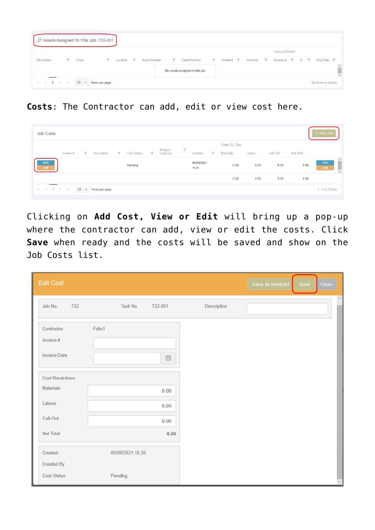| Assets Assigned To This Job: 722-001 |   |                    |                         |          |                          |                     |              |                                |              |                                |                               |                         |            |                     |  |
|--------------------------------------|---|--------------------|-------------------------|----------|--------------------------|---------------------|--------------|--------------------------------|--------------|--------------------------------|-------------------------------|-------------------------|------------|---------------------|--|
|                                      |   |                    |                         |          |                          |                     |              |                                |              |                                |                               | <b>Contract Details</b> |            |                     |  |
| Description                          | ▼ | <b>Class</b>       | $\overline{\mathbf{Y}}$ | Location | $\overline{\phantom{a}}$ | <b>Asset Number</b> | $\mathbf{r}$ | <b>Serial Number</b>           | $\mathbf{r}$ | Installed $\blacktriangledown$ | Warranty $\blacktriangledown$ | Resource <b>Y</b>       | <b>R T</b> | End Date <b>Y</b>   |  |
|                                      |   |                    |                         |          |                          |                     |              | No assets assigned to this job |              |                                |                               |                         |            |                     |  |
| $M \leftarrow 0 \rightarrow M$       |   | 10<br>$\mathbf{v}$ | items per page          |          |                          |                     |              |                                |              |                                |                               |                         |            | No items to display |  |

**Costs**: The Contractor can add, edit or view cost here.

| <b>Job Costs</b> |                   |             |                |    |                    |    |                      |              |                     |                         |                  |        |          |                  | Add Cost                                                |
|------------------|-------------------|-------------|----------------|----|--------------------|----|----------------------|--------------|---------------------|-------------------------|------------------|--------|----------|------------------|---------------------------------------------------------|
|                  |                   |             |                |    |                    |    |                      |              |                     |                         | Costs (Ex. Tax)  |        |          |                  |                                                         |
|                  | Invoice #         | Y           | Description    | Y. | <b>Cost Status</b> | Y. | Budget /<br>Contract | $\mathbf{r}$ | Created             | $\overline{\mathbf{r}}$ | <b>Materials</b> | Labour | Call-Out | <b>Net Total</b> |                                                         |
| View<br>Edit     |                   |             |                |    | Pending            |    |                      |              | 06/09/2021<br>16:35 |                         | 0.00             | 0.00   | 0.00     | 0.00             | $\widehat{\phantom{a}}$<br>View<br>Edit<br>$\checkmark$ |
|                  |                   |             |                |    |                    |    |                      |              |                     |                         | 0.00             | 0.00   | 0.00     | 0.00             |                                                         |
| $M = 4$          | $1 \rightarrow M$ | $10 \times$ | items per page |    |                    |    |                      |              |                     |                         |                  |        |          |                  | $1 - 1$ of 1 items                                      |

Clicking on **Add Cost, View or Edit** will bring up a pop-up where the contractor can add, view or edit the costs. Click **Save** when ready and the costs will be saved and show on the Job Costs list.

| <b>Edit Cost</b>                        |                  |              |             | Save as Invoiced | Save | Close                    |
|-----------------------------------------|------------------|--------------|-------------|------------------|------|--------------------------|
| Job No.<br>722                          | Task No.         | 722-001      | Description |                  |      | $\mathcal{N}_\mathrm{c}$ |
| Contractor<br>Invoice #<br>Invoice Date | Felix1           | 曲            |             |                  |      |                          |
| Cost Breakdown<br>Materials             |                  | 0.00         |             |                  |      |                          |
| Labour                                  |                  | 0.00         |             |                  |      |                          |
| Call-Out<br>Net Total                   |                  | 0.00<br>0.00 |             |                  |      |                          |
| Created<br>Created By                   | 06/09/2021 16:35 |              |             |                  |      |                          |
| Cost Status                             | Pending          |              |             |                  |      |                          |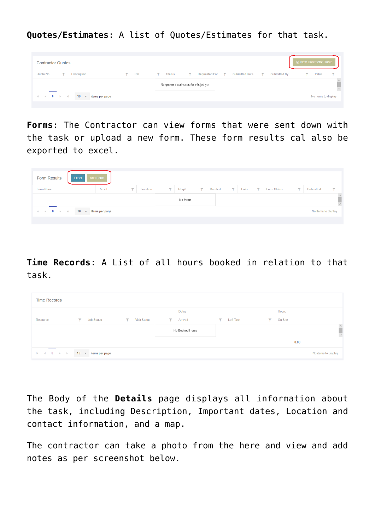**Quotes/Estimates**: A list of Quotes/Estimates for that task.

| <b>Contractor Quotes</b>                                                                    |            | A New Contractor Quote                                                                                                                      |
|---------------------------------------------------------------------------------------------|------------|---------------------------------------------------------------------------------------------------------------------------------------------|
| Quote No.<br>Description<br>▼                                                               | Ref.<br>Y. | $\overline{\mathbf{v}}$<br><b>Submitted Date</b><br><b>Status</b><br><b>Requested For</b><br>▼<br>Submitted By<br>Value<br>▼<br>▼<br>v<br>▽ |
|                                                                                             |            | $\widehat{\phantom{a}}$<br>No quotes / estimates for this job yet                                                                           |
| 10<br>$0 \rightarrow \cdots \rightarrow$<br>items per page<br><b>Record</b><br>$\mathbf{v}$ |            | No items to display                                                                                                                         |

**Forms**: The Contractor can view forms that were sent down with the task or upload a new form. These form results cal also be exported to excel.

| <b>Form Results</b><br>Excel | Add Form                      |                                     |                |          |              |         |              |       |              |                    |                         |                     |                         |
|------------------------------|-------------------------------|-------------------------------------|----------------|----------|--------------|---------|--------------|-------|--------------|--------------------|-------------------------|---------------------|-------------------------|
| <b>Form Name</b>             | Asset                         | $\overline{\mathbf{Y}}$<br>Location | $\overline{Y}$ | Req'd    | $\mathbf{Y}$ | Created | $\mathbf{Y}$ | Fails | $\mathbf{Y}$ | <b>Form Status</b> | $\overline{\mathbf{Y}}$ | Submitted           | ▼                       |
|                              |                               |                                     |                | No forms |              |         |              |       |              |                    |                         |                     | $\widehat{\phantom{a}}$ |
| $M = 4$ 0 $M = 1$            | $10 \times$<br>items per page |                                     |                |          |              |         |              |       |              |                    |                         | No items to display |                         |
|                              |                               |                                     |                |          |              |         |              |       |              |                    |                         |                     |                         |

**Time Records**: A List of all hours booked in relation to that task.

| <b>Time Records</b>                                                              |                                     |                           |                           |                        |               |                                                          |
|----------------------------------------------------------------------------------|-------------------------------------|---------------------------|---------------------------|------------------------|---------------|----------------------------------------------------------|
|                                                                                  |                                     |                           | Dates                     |                        | <b>Hours</b>  |                                                          |
| Resource                                                                         | <b>Job Status</b><br>$\overline{Y}$ | <b>Visit Status</b><br>Y. | Arrived<br>$\overline{Y}$ | <b>Left Task</b><br>Y. | On Site<br>Y. |                                                          |
|                                                                                  |                                     |                           | No Booked Hours           |                        |               | $\langle \begin{array}{c} \rangle \\ \hline \end{array}$ |
|                                                                                  |                                     |                           |                           |                        | 0.00          |                                                          |
| $\mathbb{H} \quad \mathbb{H} \quad \mathbb{O} \quad \mathbb{R} \quad \mathbb{H}$ | $10 - \sqrt{ }$<br>items per page   |                           |                           |                        |               | No items to display                                      |

The Body of the **Details** page displays all information about the task, including Description, Important dates, Location and contact information, and a map.

The contractor can take a photo from the here and view and add notes as per screenshot below.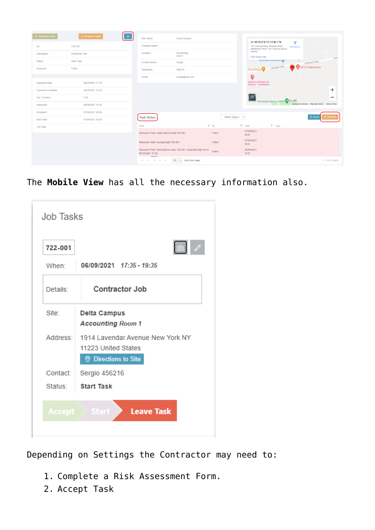| ⊙ Complete Task          | <b>E</b> Request Uplift | ෯ | Site Name                                                                             | Delta Campus               |        |                                          |                                               |                                                                                                    |                         |  |                |                           |                                                |
|--------------------------|-------------------------|---|---------------------------------------------------------------------------------------|----------------------------|--------|------------------------------------------|-----------------------------------------------|----------------------------------------------------------------------------------------------------|-------------------------|--|----------------|---------------------------|------------------------------------------------|
| No.                      | 722-001                 |   | <b>Contract Name</b>                                                                  |                            |        |                                          |                                               | 21°46'39.8"N 72°12'40.1"W<br>102 Leeward Hwy, Venetian Road<br>Settlement TKCA 1ZZ, Turks & Calcos | N.<br><b>Directions</b> |  |                |                           |                                                |
| Description              | <b>Contractor Job</b>   |   | Location                                                                              | Accounting<br>Room 1       |        |                                          | Islands<br>View larger map                    |                                                                                                    |                         |  |                |                           |                                                |
| <b>Status</b>            | <b>Start Task</b>       |   | <b>Contact Name</b>                                                                   | Sergio                     |        |                                          |                                               | <b>BUSINESS SOILINONS</b>                                                                          |                         |  | Leeward Hwy    |                           |                                                |
| Resource                 | Felix1                  |   | Telephone                                                                             | 456216                     |        |                                          | Pizza Pizza                                   | Leeward Hwy                                                                                        |                         |  |                | <b>C</b> ACCU Diagnostics |                                                |
|                          |                         |   | Email                                                                                 | sergio@trial.com           |        |                                          | ∞                                             |                                                                                                    |                         |  |                |                           |                                                |
| <b>Expected Start</b>    | 06/09/2021 17:35        |   |                                                                                       |                            |        |                                          | <b>Kokomo Botanical</b><br>Resort - Caribbean |                                                                                                    |                         |  |                |                           |                                                |
| <b>Expected Complete</b> | 06/09/2021 19:35        |   |                                                                                       |                            |        |                                          |                                               |                                                                                                    |                         |  |                |                           |                                                |
| Exp. Duration            | 2.00                    |   |                                                                                       |                            |        |                                          | 尊                                             |                                                                                                    |                         |  |                |                           |                                                |
| Instructed               | 06/09/2021 16:35        |   |                                                                                       |                            |        |                                          |                                               | Graceway Sports Centre Coogle                                                                      |                         |  |                |                           | Keyboard shortcuts Map data @2021 Terms of Use |
| Accepted                 | 07/09/2021 09:26        |   |                                                                                       |                            |        |                                          |                                               |                                                                                                    |                         |  |                |                           |                                                |
| <b>Start Task</b>        | 07/09/2021 09:26        |   | <b>Task Notes</b>                                                                     |                            |        | <note types=""> <math>\sim</math></note> |                                               |                                                                                                    |                         |  | <b>B</b> Excel |                           | ⊕ Add Note                                     |
| Left Task                |                         |   | <b>Note</b>                                                                           |                            | $T$ By |                                          | $T$ Date                                      | $T$ Type                                                                                           |                         |  |                |                           |                                                |
|                          |                         |   | Resource Felix1 starts task for task 722-001                                          |                            | Felix1 |                                          | 07/09/2021<br>09:26                           |                                                                                                    |                         |  |                |                           |                                                |
|                          |                         |   | Resource Felix1 accepts task 722-001                                                  |                            | Felix1 |                                          | 07/09/2021<br>09:26                           |                                                                                                    |                         |  |                |                           |                                                |
|                          |                         |   | Resource Felix1 instructed on task: 722-001. Expected Date set to<br>06 09 2021 17:35 |                            | Felix1 |                                          | 06/09/2021<br>16:35                           |                                                                                                    |                         |  |                |                           |                                                |
|                          |                         |   | $H = 4 - 1$ $\rightarrow$ $H$                                                         | $10 \times$ items per page |        |                                          |                                               |                                                                                                    |                         |  |                |                           | $1 - 3$ of 3 items                             |

The **Mobile View** has all the necessary information also.

| 722-001  | $\circ$                                                                                           |
|----------|---------------------------------------------------------------------------------------------------|
| When:    | 06/09/2021 17:35 - 19:35                                                                          |
| Details: | <b>Contractor Job</b>                                                                             |
| Site:    | <b>Delta Campus</b><br><b>Accounting Room 1</b>                                                   |
| Address: | 1914 Lavendar Avenue New York NY<br>11223 United States<br><b><sup>©</sup></b> Directions to Site |
| Contact: | Sergio 456216                                                                                     |
| Status:  | <b>Start Task</b>                                                                                 |

Depending on Settings the Contractor may need to:

- 1. Complete a Risk Assessment Form.
- 2. Accept Task